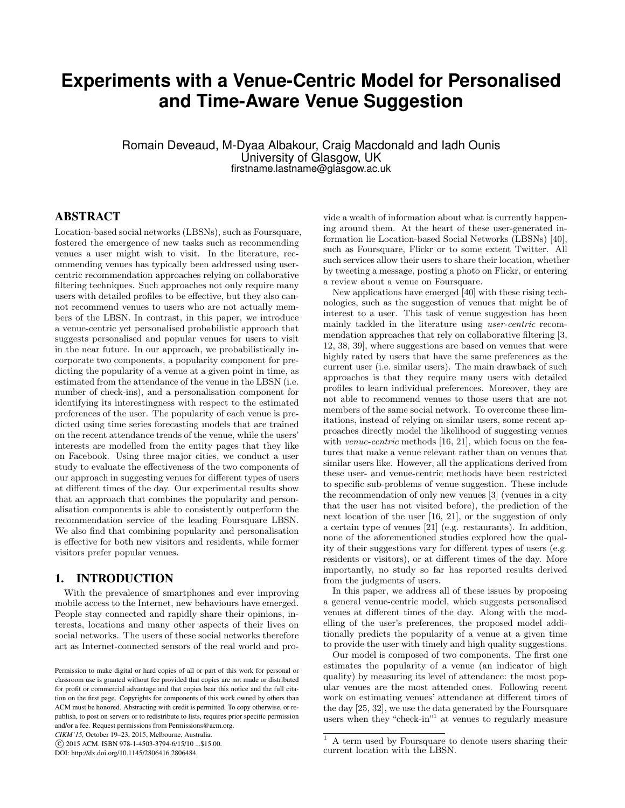# **Experiments with a Venue-Centric Model for Personalised and Time-Aware Venue Suggestion**

Romain Deveaud, M-Dyaa Albakour, Craig Macdonald and Iadh Ounis University of Glasgow, UK firstname.lastname@glasgow.ac.uk

# ABSTRACT

Location-based social networks (LBSNs), such as Foursquare, fostered the emergence of new tasks such as recommending venues a user might wish to visit. In the literature, recommending venues has typically been addressed using usercentric recommendation approaches relying on collaborative filtering techniques. Such approaches not only require many users with detailed profiles to be effective, but they also cannot recommend venues to users who are not actually members of the LBSN. In contrast, in this paper, we introduce a venue-centric yet personalised probabilistic approach that suggests personalised and popular venues for users to visit in the near future. In our approach, we probabilistically incorporate two components, a popularity component for predicting the popularity of a venue at a given point in time, as estimated from the attendance of the venue in the LBSN (i.e. number of check-ins), and a personalisation component for identifying its interestingness with respect to the estimated preferences of the user. The popularity of each venue is predicted using time series forecasting models that are trained on the recent attendance trends of the venue, while the users' interests are modelled from the entity pages that they like on Facebook. Using three major cities, we conduct a user study to evaluate the effectiveness of the two components of our approach in suggesting venues for different types of users at different times of the day. Our experimental results show that an approach that combines the popularity and personalisation components is able to consistently outperform the recommendation service of the leading Foursquare LBSN. We also find that combining popularity and personalisation is effective for both new visitors and residents, while former visitors prefer popular venues.

### 1. INTRODUCTION

With the prevalence of smartphones and ever improving mobile access to the Internet, new behaviours have emerged. People stay connected and rapidly share their opinions, interests, locations and many other aspects of their lives on social networks. The users of these social networks therefore act as Internet-connected sensors of the real world and pro-

*CIKM'15,* October 19–23, 2015, Melbourne, Australia.

vide a wealth of information about what is currently happening around them. At the heart of these user-generated information lie Location-based Social Networks (LBSNs) [40], such as Foursquare, Flickr or to some extent Twitter. All such services allow their users to share their location, whether by tweeting a message, posting a photo on Flickr, or entering a review about a venue on Foursquare.

New applications have emerged [40] with these rising technologies, such as the suggestion of venues that might be of interest to a user. This task of venue suggestion has been mainly tackled in the literature using user-centric recommendation approaches that rely on collaborative filtering [3, 12, 38, 39], where suggestions are based on venues that were highly rated by users that have the same preferences as the current user (i.e. similar users). The main drawback of such approaches is that they require many users with detailed profiles to learn individual preferences. Moreover, they are not able to recommend venues to those users that are not members of the same social network. To overcome these limitations, instead of relying on similar users, some recent approaches directly model the likelihood of suggesting venues with *venue-centric* methods [16, 21], which focus on the features that make a venue relevant rather than on venues that similar users like. However, all the applications derived from these user- and venue-centric methods have been restricted to specific sub-problems of venue suggestion. These include the recommendation of only new venues [3] (venues in a city that the user has not visited before), the prediction of the next location of the user [16, 21], or the suggestion of only a certain type of venues [21] (e.g. restaurants). In addition, none of the aforementioned studies explored how the quality of their suggestions vary for different types of users (e.g. residents or visitors), or at different times of the day. More importantly, no study so far has reported results derived from the judgments of users.

In this paper, we address all of these issues by proposing a general venue-centric model, which suggests personalised venues at different times of the day. Along with the modelling of the user's preferences, the proposed model additionally predicts the popularity of a venue at a given time to provide the user with timely and high quality suggestions.

Our model is composed of two components. The first one estimates the popularity of a venue (an indicator of high quality) by measuring its level of attendance: the most popular venues are the most attended ones. Following recent work on estimating venues' attendance at different times of the day [25, 32], we use the data generated by the Foursquare users when they "check-in"<sup>1</sup> at venues to regularly measure

Permission to make digital or hard copies of all or part of this work for personal or classroom use is granted without fee provided that copies are not made or distributed for profit or commercial advantage and that copies bear this notice and the full citation on the first page. Copyrights for components of this work owned by others than ACM must be honored. Abstracting with credit is permitted. To copy otherwise, or republish, to post on servers or to redistribute to lists, requires prior specific permission and/or a fee. Request permissions from Permissions@acm.org.

c 2015 ACM. ISBN 978-1-4503-3794-6/15/10 ...\$15.00.

DOI: http://dx.doi.org/10.1145/2806416.2806484.

<sup>&</sup>lt;sup>1</sup> A term used by Foursquare to denote users sharing their current location with the LBSN.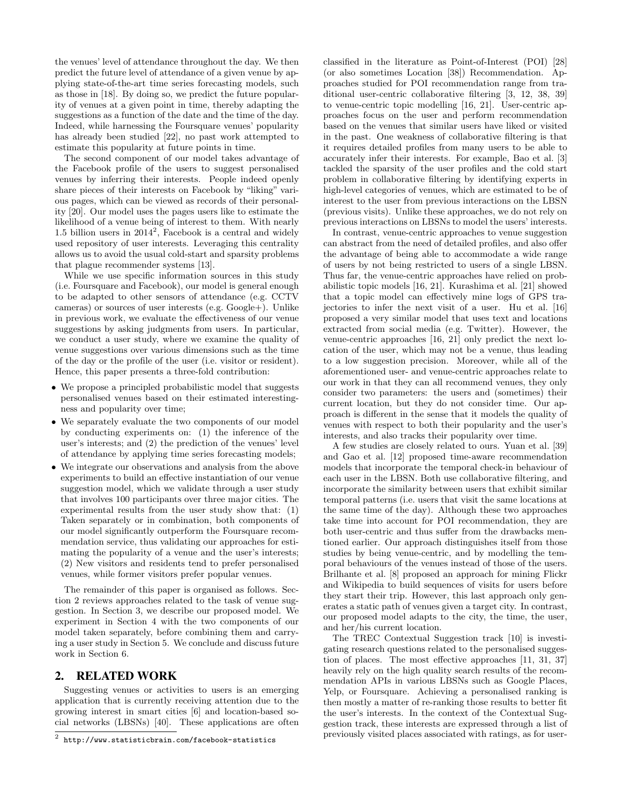the venues' level of attendance throughout the day. We then predict the future level of attendance of a given venue by applying state-of-the-art time series forecasting models, such as those in [18]. By doing so, we predict the future popularity of venues at a given point in time, thereby adapting the suggestions as a function of the date and the time of the day. Indeed, while harnessing the Foursquare venues' popularity has already been studied [22], no past work attempted to estimate this popularity at future points in time.

The second component of our model takes advantage of the Facebook profile of the users to suggest personalised venues by inferring their interests. People indeed openly share pieces of their interests on Facebook by "liking" various pages, which can be viewed as records of their personality [20]. Our model uses the pages users like to estimate the likelihood of a venue being of interest to them. With nearly 1.5 billion users in  $2014^2$ , Facebook is a central and widely used repository of user interests. Leveraging this centrality allows us to avoid the usual cold-start and sparsity problems that plague recommender systems [13].

While we use specific information sources in this study (i.e. Foursquare and Facebook), our model is general enough to be adapted to other sensors of attendance (e.g. CCTV cameras) or sources of user interests (e.g. Google+). Unlike in previous work, we evaluate the effectiveness of our venue suggestions by asking judgments from users. In particular, we conduct a user study, where we examine the quality of venue suggestions over various dimensions such as the time of the day or the profile of the user (i.e. visitor or resident). Hence, this paper presents a three-fold contribution:

- We propose a principled probabilistic model that suggests personalised venues based on their estimated interestingness and popularity over time;
- We separately evaluate the two components of our model by conducting experiments on: (1) the inference of the user's interests; and (2) the prediction of the venues' level of attendance by applying time series forecasting models;
- We integrate our observations and analysis from the above experiments to build an effective instantiation of our venue suggestion model, which we validate through a user study that involves 100 participants over three major cities. The experimental results from the user study show that: (1) Taken separately or in combination, both components of our model significantly outperform the Foursquare recommendation service, thus validating our approaches for estimating the popularity of a venue and the user's interests; (2) New visitors and residents tend to prefer personalised venues, while former visitors prefer popular venues.

The remainder of this paper is organised as follows. Section 2 reviews approaches related to the task of venue suggestion. In Section 3, we describe our proposed model. We experiment in Section 4 with the two components of our model taken separately, before combining them and carrying a user study in Section 5. We conclude and discuss future work in Section 6.

# 2. RELATED WORK

Suggesting venues or activities to users is an emerging application that is currently receiving attention due to the growing interest in smart cities [6] and location-based social networks (LBSNs) [40]. These applications are often

classified in the literature as Point-of-Interest (POI) [28] (or also sometimes Location [38]) Recommendation. Approaches studied for POI recommendation range from traditional user-centric collaborative filtering [3, 12, 38, 39] to venue-centric topic modelling [16, 21]. User-centric approaches focus on the user and perform recommendation based on the venues that similar users have liked or visited in the past. One weakness of collaborative filtering is that it requires detailed profiles from many users to be able to accurately infer their interests. For example, Bao et al. [3] tackled the sparsity of the user profiles and the cold start problem in collaborative filtering by identifying experts in high-level categories of venues, which are estimated to be of interest to the user from previous interactions on the LBSN (previous visits). Unlike these approaches, we do not rely on previous interactions on LBSNs to model the users' interests.

In contrast, venue-centric approaches to venue suggestion can abstract from the need of detailed profiles, and also offer the advantage of being able to accommodate a wide range of users by not being restricted to users of a single LBSN. Thus far, the venue-centric approaches have relied on probabilistic topic models [16, 21]. Kurashima et al. [21] showed that a topic model can effectively mine logs of GPS trajectories to infer the next visit of a user. Hu et al. [16] proposed a very similar model that uses text and locations extracted from social media (e.g. Twitter). However, the venue-centric approaches [16, 21] only predict the next location of the user, which may not be a venue, thus leading to a low suggestion precision. Moreover, while all of the aforementioned user- and venue-centric approaches relate to our work in that they can all recommend venues, they only consider two parameters: the users and (sometimes) their current location, but they do not consider time. Our approach is different in the sense that it models the quality of venues with respect to both their popularity and the user's interests, and also tracks their popularity over time.

A few studies are closely related to ours. Yuan et al. [39] and Gao et al. [12] proposed time-aware recommendation models that incorporate the temporal check-in behaviour of each user in the LBSN. Both use collaborative filtering, and incorporate the similarity between users that exhibit similar temporal patterns (i.e. users that visit the same locations at the same time of the day). Although these two approaches take time into account for POI recommendation, they are both user-centric and thus suffer from the drawbacks mentioned earlier. Our approach distinguishes itself from those studies by being venue-centric, and by modelling the temporal behaviours of the venues instead of those of the users. Brilhante et al. [8] proposed an approach for mining Flickr and Wikipedia to build sequences of visits for users before they start their trip. However, this last approach only generates a static path of venues given a target city. In contrast, our proposed model adapts to the city, the time, the user, and her/his current location.

The TREC Contextual Suggestion track [10] is investigating research questions related to the personalised suggestion of places. The most effective approaches [11, 31, 37] heavily rely on the high quality search results of the recommendation APIs in various LBSNs such as Google Places, Yelp, or Foursquare. Achieving a personalised ranking is then mostly a matter of re-ranking those results to better fit the user's interests. In the context of the Contextual Suggestion track, these interests are expressed through a list of previously visited places associated with ratings, as for user-

 $^2$  http://www.statisticbrain.com/facebook-statistics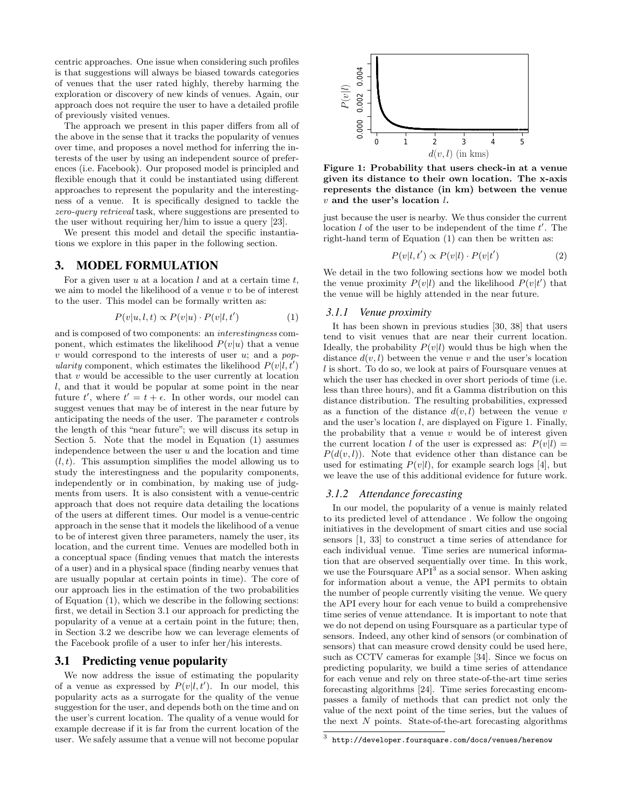centric approaches. One issue when considering such profiles is that suggestions will always be biased towards categories of venues that the user rated highly, thereby harming the exploration or discovery of new kinds of venues. Again, our approach does not require the user to have a detailed profile of previously visited venues.

The approach we present in this paper differs from all of the above in the sense that it tracks the popularity of venues over time, and proposes a novel method for inferring the interests of the user by using an independent source of preferences (i.e. Facebook). Our proposed model is principled and flexible enough that it could be instantiated using different approaches to represent the popularity and the interestingness of a venue. It is specifically designed to tackle the zero-query retrieval task, where suggestions are presented to the user without requiring her/him to issue a query [23].

We present this model and detail the specific instantiations we explore in this paper in the following section.

#### 3. MODEL FORMULATION

For a given user  $u$  at a location  $l$  and at a certain time  $t$ , we aim to model the likelihood of a venue  $v$  to be of interest to the user. This model can be formally written as:

$$
P(v|u, l, t) \propto P(v|u) \cdot P(v|l, t')
$$
 (1)

and is composed of two components: an interestingness component, which estimates the likelihood  $P(v|u)$  that a venue v would correspond to the interests of user  $u$ ; and a popularity component, which estimates the likelihood  $P(v|l, t')$ that  $v$  would be accessible to the user currently at location l, and that it would be popular at some point in the near future t', where  $t' = t + \epsilon$ . In other words, our model can suggest venues that may be of interest in the near future by anticipating the needs of the user. The parameter  $\epsilon$  controls the length of this "near future"; we will discuss its setup in Section 5. Note that the model in Equation (1) assumes independence between the user  $u$  and the location and time  $(l, t)$ . This assumption simplifies the model allowing us to study the interestingness and the popularity components, independently or in combination, by making use of judgments from users. It is also consistent with a venue-centric approach that does not require data detailing the locations of the users at different times. Our model is a venue-centric approach in the sense that it models the likelihood of a venue to be of interest given three parameters, namely the user, its location, and the current time. Venues are modelled both in a conceptual space (finding venues that match the interests of a user) and in a physical space (finding nearby venues that are usually popular at certain points in time). The core of our approach lies in the estimation of the two probabilities of Equation (1), which we describe in the following sections: first, we detail in Section 3.1 our approach for predicting the popularity of a venue at a certain point in the future; then, in Section 3.2 we describe how we can leverage elements of the Facebook profile of a user to infer her/his interests.

#### 3.1 Predicting venue popularity

We now address the issue of estimating the popularity of a venue as expressed by  $P(v|l, t')$ . In our model, this popularity acts as a surrogate for the quality of the venue suggestion for the user, and depends both on the time and on the user's current location. The quality of a venue would for example decrease if it is far from the current location of the user. We safely assume that a venue will not become popular



Figure 1: Probability that users check-in at a venue given its distance to their own location. The x-axis represents the distance (in km) between the venue  $v$  and the user's location  $l$ .

just because the user is nearby. We thus consider the current location  $l$  of the user to be independent of the time  $t'$ . The right-hand term of Equation (1) can then be written as:

$$
P(v|l, t') \propto P(v|l) \cdot P(v|t')
$$
 (2)

We detail in the two following sections how we model both the venue proximity  $P(v|l)$  and the likelihood  $P(v|t')$  that the venue will be highly attended in the near future.

#### *3.1.1 Venue proximity*

It has been shown in previous studies [30, 38] that users tend to visit venues that are near their current location. Ideally, the probability  $P(v|l)$  would thus be high when the distance  $d(v, l)$  between the venue v and the user's location l is short. To do so, we look at pairs of Foursquare venues at which the user has checked in over short periods of time (i.e. less than three hours), and fit a Gamma distribution on this distance distribution. The resulting probabilities, expressed as a function of the distance  $d(v, l)$  between the venue v and the user's location l, are displayed on Figure 1. Finally, the probability that a venue  $v$  would be of interest given the current location l of the user is expressed as:  $P(v|l)$  =  $P(d(v, l))$ . Note that evidence other than distance can be used for estimating  $P(v|l)$ , for example search logs [4], but we leave the use of this additional evidence for future work.

#### *3.1.2 Attendance forecasting*

In our model, the popularity of a venue is mainly related to its predicted level of attendance . We follow the ongoing initiatives in the development of smart cities and use social sensors [1, 33] to construct a time series of attendance for each individual venue. Time series are numerical information that are observed sequentially over time. In this work, we use the Foursquare  $API<sup>3</sup>$  as a social sensor. When asking for information about a venue, the API permits to obtain the number of people currently visiting the venue. We query the API every hour for each venue to build a comprehensive time series of venue attendance. It is important to note that we do not depend on using Foursquare as a particular type of sensors. Indeed, any other kind of sensors (or combination of sensors) that can measure crowd density could be used here, such as CCTV cameras for example [34]. Since we focus on predicting popularity, we build a time series of attendance for each venue and rely on three state-of-the-art time series forecasting algorithms [24]. Time series forecasting encompasses a family of methods that can predict not only the value of the next point of the time series, but the values of the next  $N$  points. State-of-the-art forecasting algorithms

 $^3$  http://developer.foursquare.com/docs/venues/herenow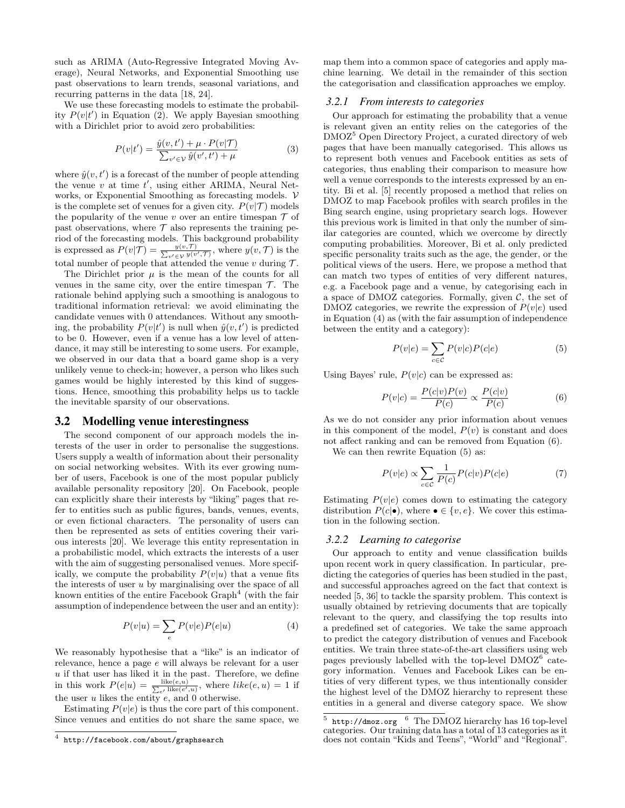such as ARIMA (Auto-Regressive Integrated Moving Average), Neural Networks, and Exponential Smoothing use past observations to learn trends, seasonal variations, and recurring patterns in the data [18, 24].

We use these forecasting models to estimate the probability  $P(v|t')$  in Equation (2). We apply Bayesian smoothing with a Dirichlet prior to avoid zero probabilities:

$$
P(v|t') = \frac{\hat{y}(v,t') + \mu \cdot P(v|\mathcal{T})}{\sum_{v' \in \mathcal{V}} \hat{y}(v',t') + \mu}
$$
(3)

where  $\hat{y}(v, t')$  is a forecast of the number of people attending the venue  $v$  at time  $t'$ , using either ARIMA, Neural Networks, or Exponential Smoothing as forecasting models.  $V$ is the complete set of venues for a given city.  $P(v|\mathcal{T})$  models the popularity of the venue v over an entire timespan  $\mathcal T$  of past observations, where  $\mathcal T$  also represents the training period of the forecasting models. This background probability is expressed as  $P(v|\mathcal{T}) = \frac{y(v,\mathcal{T})}{\sum_{v'\in\mathcal{V}} y(v',\mathcal{T})}$ , where  $y(v,\mathcal{T})$  is the total number of people that attended the venue  $v$  during  $\mathcal{T}$ .

The Dirichlet prior  $\mu$  is the mean of the counts for all venues in the same city, over the entire timespan  $\mathcal T$ . The rationale behind applying such a smoothing is analogous to traditional information retrieval: we avoid eliminating the candidate venues with 0 attendances. Without any smoothing, the probability  $P(v|t')$  is null when  $\hat{y}(v,t')$  is predicted to be 0. However, even if a venue has a low level of attendance, it may still be interesting to some users. For example, we observed in our data that a board game shop is a very unlikely venue to check-in; however, a person who likes such games would be highly interested by this kind of suggestions. Hence, smoothing this probability helps us to tackle the inevitable sparsity of our observations.

#### 3.2 Modelling venue interestingness

The second component of our approach models the interests of the user in order to personalise the suggestions. Users supply a wealth of information about their personality on social networking websites. With its ever growing number of users, Facebook is one of the most popular publicly available personality repository [20]. On Facebook, people can explicitly share their interests by "liking" pages that refer to entities such as public figures, bands, venues, events, or even fictional characters. The personality of users can then be represented as sets of entities covering their various interests [20]. We leverage this entity representation in a probabilistic model, which extracts the interests of a user with the aim of suggesting personalised venues. More specifically, we compute the probability  $P(v|u)$  that a venue fits the interests of user  $u$  by marginalising over the space of all known entities of the entire Facebook  $Graph<sup>4</sup>$  (with the fair assumption of independence between the user and an entity):

$$
P(v|u) = \sum_{e} P(v|e)P(e|u)
$$
 (4)

We reasonably hypothesise that a "like" is an indicator of relevance, hence a page e will always be relevant for a user  $u$  if that user has liked it in the past. Therefore, we define in this work  $P(e|u) = \frac{\text{like}(e, u)}{\sum_{e'} \text{like}(e', u)},$  where  $like(e, u) = 1$  if the user  $u$  likes the entity  $e$ , and  $0$  otherwise.

Estimating  $P(v|e)$  is thus the core part of this component. Since venues and entities do not share the same space, we map them into a common space of categories and apply machine learning. We detail in the remainder of this section the categorisation and classification approaches we employ.

#### *3.2.1 From interests to categories*

Our approach for estimating the probability that a venue is relevant given an entity relies on the categories of the DMOZ<sup>5</sup> Open Directory Project, a curated directory of web pages that have been manually categorised. This allows us to represent both venues and Facebook entities as sets of categories, thus enabling their comparison to measure how well a venue corresponds to the interests expressed by an entity. Bi et al. [5] recently proposed a method that relies on DMOZ to map Facebook profiles with search profiles in the Bing search engine, using proprietary search logs. However this previous work is limited in that only the number of similar categories are counted, which we overcome by directly computing probabilities. Moreover, Bi et al. only predicted specific personality traits such as the age, the gender, or the political views of the users. Here, we propose a method that can match two types of entities of very different natures, e.g. a Facebook page and a venue, by categorising each in a space of DMOZ categories. Formally, given  $C$ , the set of DMOZ categories, we rewrite the expression of  $P(v|e)$  used in Equation (4) as (with the fair assumption of independence between the entity and a category):

$$
P(v|e) = \sum_{c \in \mathcal{C}} P(v|c)P(c|e)
$$
 (5)

Using Bayes' rule,  $P(v|c)$  can be expressed as:

$$
P(v|c) = \frac{P(c|v)P(v)}{P(c)} \propto \frac{P(c|v)}{P(c)}
$$
(6)

As we do not consider any prior information about venues in this component of the model,  $P(v)$  is constant and does not affect ranking and can be removed from Equation (6).

We can then rewrite Equation  $(5)$  as:

$$
P(v|e) \propto \sum_{c \in \mathcal{C}} \frac{1}{P(c)} P(c|v) P(c|e) \tag{7}
$$

Estimating  $P(v|e)$  comes down to estimating the category distribution  $P(c|\bullet)$ , where  $\bullet \in \{v, e\}$ . We cover this estimation in the following section.

#### *3.2.2 Learning to categorise*

Our approach to entity and venue classification builds upon recent work in query classification. In particular, predicting the categories of queries has been studied in the past, and successful approaches agreed on the fact that context is needed [5, 36] to tackle the sparsity problem. This context is usually obtained by retrieving documents that are topically relevant to the query, and classifying the top results into a predefined set of categories. We take the same approach to predict the category distribution of venues and Facebook entities. We train three state-of-the-art classifiers using web pages previously labelled with the top-level DMOZ<sup>6</sup> category information. Venues and Facebook Likes can be entities of very different types, we thus intentionally consider the highest level of the DMOZ hierarchy to represent these entities in a general and diverse category space. We show

 $^4$  http://facebook.com/about/graphsearch

 $5$  http://dmoz.org  $6$  The DMOZ hierarchy has 16 top-level categories. Our training data has a total of 13 categories as it does not contain "Kids and Teens", "World" and "Regional".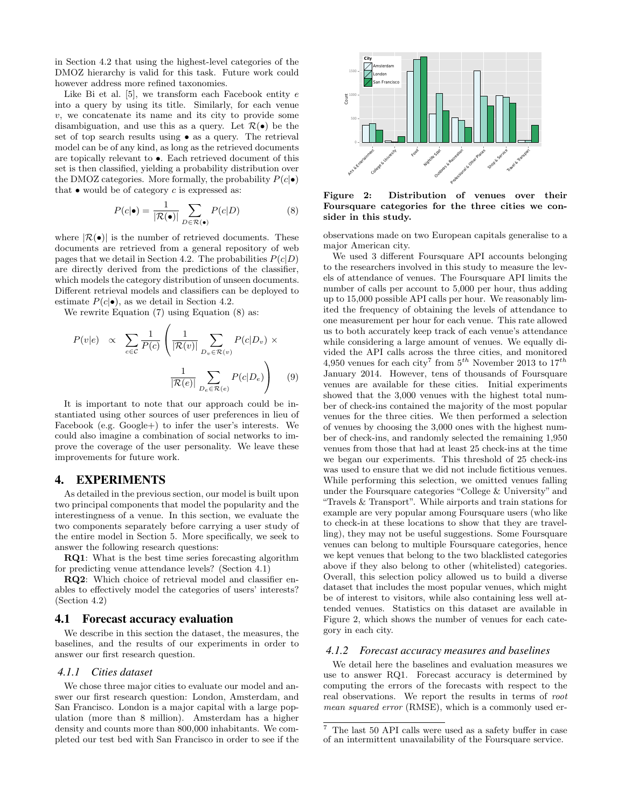in Section 4.2 that using the highest-level categories of the DMOZ hierarchy is valid for this task. Future work could however address more refined taxonomies.

Like Bi et al.  $[5]$ , we transform each Facebook entity  $e$ into a query by using its title. Similarly, for each venue  $v$ , we concatenate its name and its city to provide some disambiguation, and use this as a query. Let  $\mathcal{R}(\bullet)$  be the set of top search results using • as a query. The retrieval model can be of any kind, as long as the retrieved documents are topically relevant to •. Each retrieved document of this set is then classified, yielding a probability distribution over the DMOZ categories. More formally, the probability  $P(c|\bullet)$ that  $\bullet$  would be of category c is expressed as:

$$
P(c|\bullet) = \frac{1}{|\mathcal{R}(\bullet)|} \sum_{D \in \mathcal{R}(\bullet)} P(c|D)
$$
 (8)

where  $|\mathcal{R}(\bullet)|$  is the number of retrieved documents. These documents are retrieved from a general repository of web pages that we detail in Section 4.2. The probabilities  $P(c|D)$ are directly derived from the predictions of the classifier, which models the category distribution of unseen documents. Different retrieval models and classifiers can be deployed to estimate  $P(c|\bullet)$ , as we detail in Section 4.2.

We rewrite Equation (7) using Equation (8) as:

$$
P(v|e) \propto \sum_{c \in \mathcal{C}} \frac{1}{P(c)} \left( \frac{1}{|\mathcal{R}(v)|} \sum_{D_v \in \mathcal{R}(v)} P(c|D_v) \times \frac{1}{|\mathcal{R}(e)|} \sum_{D_e \in \mathcal{R}(e)} P(c|D_e) \right) \quad (9)
$$

It is important to note that our approach could be instantiated using other sources of user preferences in lieu of Facebook (e.g. Google+) to infer the user's interests. We could also imagine a combination of social networks to improve the coverage of the user personality. We leave these improvements for future work.

## 4. EXPERIMENTS

As detailed in the previous section, our model is built upon two principal components that model the popularity and the interestingness of a venue. In this section, we evaluate the two components separately before carrying a user study of the entire model in Section 5. More specifically, we seek to answer the following research questions:

RQ1: What is the best time series forecasting algorithm for predicting venue attendance levels? (Section 4.1)

RQ2: Which choice of retrieval model and classifier enables to effectively model the categories of users' interests? (Section 4.2)

#### 4.1 Forecast accuracy evaluation

We describe in this section the dataset, the measures, the baselines, and the results of our experiments in order to answer our first research question.

#### *4.1.1 Cities dataset*

We chose three major cities to evaluate our model and answer our first research question: London, Amsterdam, and San Francisco. London is a major capital with a large population (more than 8 million). Amsterdam has a higher density and counts more than 800,000 inhabitants. We completed our test bed with San Francisco in order to see if the



Figure 2: Distribution of venues over their Foursquare categories for the three cities we consider in this study.

observations made on two European capitals generalise to a major American city.

We used 3 different Foursquare API accounts belonging to the researchers involved in this study to measure the levels of attendance of venues. The Foursquare API limits the number of calls per account to 5,000 per hour, thus adding up to 15,000 possible API calls per hour. We reasonably limited the frequency of obtaining the levels of attendance to one measurement per hour for each venue. This rate allowed us to both accurately keep track of each venue's attendance while considering a large amount of venues. We equally divided the API calls across the three cities, and monitored 4,950 venues for each city<sup>7</sup> from  $5^{th}$  November 2013 to  $17^{th}$ January 2014. However, tens of thousands of Foursquare venues are available for these cities. Initial experiments showed that the 3,000 venues with the highest total number of check-ins contained the majority of the most popular venues for the three cities. We then performed a selection of venues by choosing the 3,000 ones with the highest number of check-ins, and randomly selected the remaining 1,950 venues from those that had at least 25 check-ins at the time we began our experiments. This threshold of 25 check-ins was used to ensure that we did not include fictitious venues. While performing this selection, we omitted venues falling under the Foursquare categories "College & University" and "Travels & Transport". While airports and train stations for example are very popular among Foursquare users (who like to check-in at these locations to show that they are travelling), they may not be useful suggestions. Some Foursquare venues can belong to multiple Foursquare categories, hence we kept venues that belong to the two blacklisted categories above if they also belong to other (whitelisted) categories. Overall, this selection policy allowed us to build a diverse dataset that includes the most popular venues, which might be of interest to visitors, while also containing less well attended venues. Statistics on this dataset are available in Figure 2, which shows the number of venues for each category in each city.

#### *4.1.2 Forecast accuracy measures and baselines*

We detail here the baselines and evaluation measures we use to answer RQ1. Forecast accuracy is determined by computing the errors of the forecasts with respect to the real observations. We report the results in terms of root mean squared error (RMSE), which is a commonly used er-

 $^7$  The last 50 API calls were used as a safety buffer in case of an intermittent unavailability of the Foursquare service.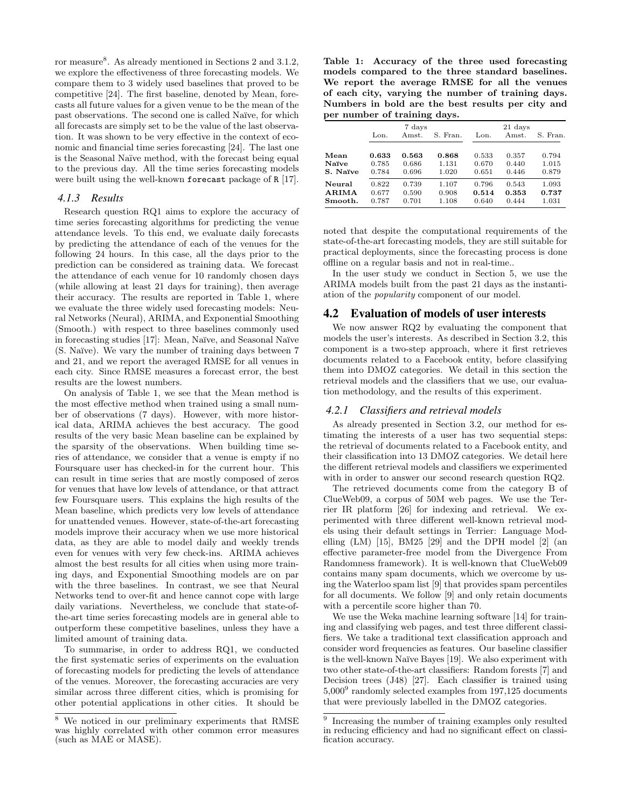ror measure<sup>8</sup>. As already mentioned in Sections 2 and 3.1.2, we explore the effectiveness of three forecasting models. We compare them to 3 widely used baselines that proved to be competitive [24]. The first baseline, denoted by Mean, forecasts all future values for a given venue to be the mean of the past observations. The second one is called Naïve, for which all forecasts are simply set to be the value of the last observation. It was shown to be very effective in the context of economic and financial time series forecasting [24]. The last one is the Seasonal Naïve method, with the forecast being equal to the previous day. All the time series forecasting models were built using the well-known forecast package of R [17].

#### *4.1.3 Results*

Research question RQ1 aims to explore the accuracy of time series forecasting algorithms for predicting the venue attendance levels. To this end, we evaluate daily forecasts by predicting the attendance of each of the venues for the following 24 hours. In this case, all the days prior to the prediction can be considered as training data. We forecast the attendance of each venue for 10 randomly chosen days (while allowing at least 21 days for training), then average their accuracy. The results are reported in Table 1, where we evaluate the three widely used forecasting models: Neural Networks (Neural), ARIMA, and Exponential Smoothing (Smooth.) with respect to three baselines commonly used in forecasting studies [17]: Mean, Naïve, and Seasonal Naïve (S. Na¨ıve). We vary the number of training days between 7 and 21, and we report the averaged RMSE for all venues in each city. Since RMSE measures a forecast error, the best results are the lowest numbers.

On analysis of Table 1, we see that the Mean method is the most effective method when trained using a small number of observations (7 days). However, with more historical data, ARIMA achieves the best accuracy. The good results of the very basic Mean baseline can be explained by the sparsity of the observations. When building time series of attendance, we consider that a venue is empty if no Foursquare user has checked-in for the current hour. This can result in time series that are mostly composed of zeros for venues that have low levels of attendance, or that attract few Foursquare users. This explains the high results of the Mean baseline, which predicts very low levels of attendance for unattended venues. However, state-of-the-art forecasting models improve their accuracy when we use more historical data, as they are able to model daily and weekly trends even for venues with very few check-ins. ARIMA achieves almost the best results for all cities when using more training days, and Exponential Smoothing models are on par with the three baselines. In contrast, we see that Neural Networks tend to over-fit and hence cannot cope with large daily variations. Nevertheless, we conclude that state-ofthe-art time series forecasting models are in general able to outperform these competitive baselines, unless they have a limited amount of training data.

To summarise, in order to address RQ1, we conducted the first systematic series of experiments on the evaluation of forecasting models for predicting the levels of attendance of the venues. Moreover, the forecasting accuracies are very similar across three different cities, which is promising for other potential applications in other cities. It should be

Table 1: Accuracy of the three used forecasting models compared to the three standard baselines. We report the average RMSE for all the venues of each city, varying the number of training days. Numbers in bold are the best results per city and per number of training days.

|              | 7 days |       |          | 21 days |       |          |
|--------------|--------|-------|----------|---------|-------|----------|
|              | Lon.   | Amst. | S. Fran. | Lon.    | Amst. | S. Fran. |
|              |        |       |          |         |       |          |
| Mean         | 0.633  | 0.563 | 0.868    | 0.533   | 0.357 | 0.794    |
| Naïve        | 0.785  | 0.686 | 1.131    | 0.670   | 0.440 | 1.015    |
| S. Naïve     | 0.784  | 0.696 | 1.020    | 0.651   | 0.446 | 0.879    |
| Neural       | 0.822  | 0.739 | 1.107    | 0.796   | 0.543 | 1.093    |
| <b>ARIMA</b> | 0.677  | 0.590 | 0.908    | 0.514   | 0.353 | 0.737    |
| Smooth.      | 0.787  | 0.701 | 1.108    | 0.640   | 0.444 | 1.031    |

noted that despite the computational requirements of the state-of-the-art forecasting models, they are still suitable for practical deployments, since the forecasting process is done offline on a regular basis and not in real-time..

In the user study we conduct in Section 5, we use the ARIMA models built from the past 21 days as the instantiation of the popularity component of our model.

#### 4.2 Evaluation of models of user interests

We now answer RQ2 by evaluating the component that models the user's interests. As described in Section 3.2, this component is a two-step approach, where it first retrieves documents related to a Facebook entity, before classifying them into DMOZ categories. We detail in this section the retrieval models and the classifiers that we use, our evaluation methodology, and the results of this experiment.

#### *4.2.1 Classifiers and retrieval models*

As already presented in Section 3.2, our method for estimating the interests of a user has two sequential steps: the retrieval of documents related to a Facebook entity, and their classification into 13 DMOZ categories. We detail here the different retrieval models and classifiers we experimented with in order to answer our second research question RQ2.

The retrieved documents come from the category B of ClueWeb09, a corpus of 50M web pages. We use the Terrier IR platform [26] for indexing and retrieval. We experimented with three different well-known retrieval models using their default settings in Terrier: Language Modelling (LM) [15], BM25 [29] and the DPH model [2] (an effective parameter-free model from the Divergence From Randomness framework). It is well-known that ClueWeb09 contains many spam documents, which we overcome by using the Waterloo spam list [9] that provides spam percentiles for all documents. We follow [9] and only retain documents with a percentile score higher than 70.

We use the Weka machine learning software [14] for training and classifying web pages, and test three different classifiers. We take a traditional text classification approach and consider word frequencies as features. Our baseline classifier is the well-known Naïve Bayes [19]. We also experiment with two other state-of-the-art classifiers: Random forests [7] and Decision trees (J48) [27]. Each classifier is trained using 5,000<sup>9</sup> randomly selected examples from 197,125 documents that were previously labelled in the DMOZ categories.

<sup>8</sup> We noticed in our preliminary experiments that RMSE was highly correlated with other common error measures (such as MAE or MASE).

<sup>&</sup>lt;sup>9</sup> Increasing the number of training examples only resulted in reducing efficiency and had no significant effect on classification accuracy.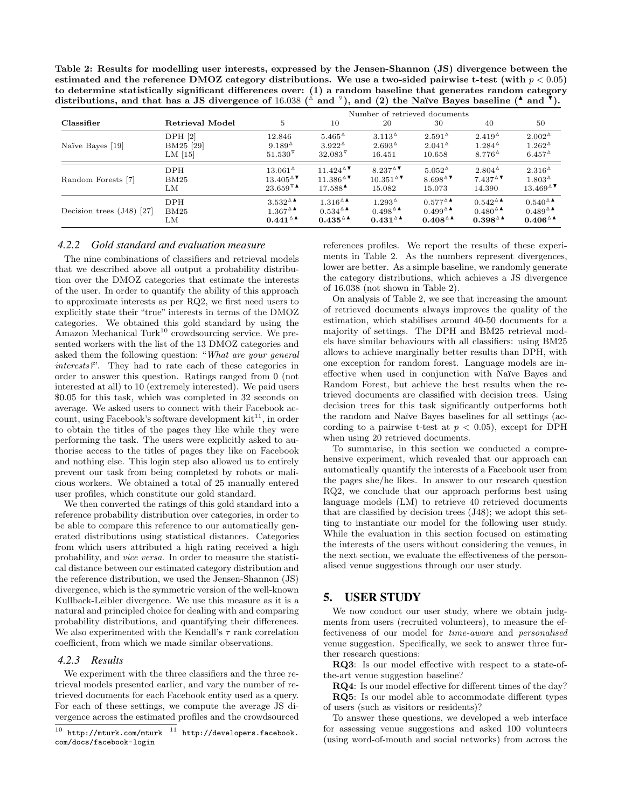Table 2: Results for modelling user interests, expressed by the Jensen-Shannon (JS) divergence between the estimated and the reference DMOZ category distributions. We use a two-sided pairwise t-test (with  $p < 0.05$ ) to determine statistically significant differences over: (1) a random baseline that generates random category distributions, and that has a JS divergence of 16.038 ( $\triangle$  and  $\triangledown$ ), and (2) the Naïve Bayes baseline ( $^*$  and  $\triangledown$ ).

|                             |                    | Number of retrieved documents |                                            |                    |                     |                     |                   |
|-----------------------------|--------------------|-------------------------------|--------------------------------------------|--------------------|---------------------|---------------------|-------------------|
| Classifier                  | Retrieval Model    | 5                             | 10                                         | 20                 | 30                  | 40                  | 50                |
| Naïve Bayes [19]            | DPH <sub>[2]</sub> | 12.846                        | $5.465^{\circ}$                            | $3.113^{\circ}$    | $2.591^{\circ}$     | $2.419^{\circ}$     | $2.002^{\Delta}$  |
|                             | BM25 [29]          | $9.189^{\circ}$               | $3.922^{\Delta}$                           | $2.693^{\Delta}$   | $2.041^{\circ}$     | $1.284^{\Delta}$    | $1.262^{\Delta}$  |
|                             | LM $[15]$          | $51.530^{\circ}$              | $32.083^{\nabla}$                          | 16.451             | 10.658              | $8.776^{\triangle}$ | $6.457^{\Delta}$  |
| Random Forests [7]          | <b>DPH</b>         | $13.061^{\circ}$              | $11.424^{\Delta}$                          | $8.237^{\text{A}}$ | $5.052^{\Delta}$    | $2.804^{\Delta}$    | $2.316^{\circ}$   |
|                             | BM25               | $13.405^{\Delta}$             | $11.386$ <sup><math>\triangle</math></sup> | $10.351^{\Delta}$  | 8.698 $\textdegree$ | $7.437^{\Delta}$    | $1.803^{\Delta}$  |
|                             | LM                 | 23.659 $\sqrt[7]{ }$          | $17.588^{\triangle}$                       | 15.082             | 15.073              | 14.390              | $13.469^{\Delta}$ |
| Decision trees $(J48)$ [27] | <b>DPH</b>         | $3.532^{\Delta}$              | $1.316^{\Delta}$                           | $1.293^{\Delta}$   | $0.577^{\Delta}$    | $0.542^{\Delta}$    | $0.540^{\Delta}$  |
|                             | BM25               | $1.367^{\Delta}$              | $0.534^{\Delta}$                           | $0.498^{\Delta}$   | $0.499^{\Delta}$    | $0.480^{\Delta}$    | $0.489^{\Delta}$  |
|                             | LМ                 | $0.441^{\circ}$               | $0.435^{\Delta}$                           | $0.431^{\Delta}$   | $0.408^{\Delta}$    | $0.398^{\triangle}$ | $0.406^{\Delta}$  |

#### *4.2.2 Gold standard and evaluation measure*

The nine combinations of classifiers and retrieval models that we described above all output a probability distribution over the DMOZ categories that estimate the interests of the user. In order to quantify the ability of this approach to approximate interests as per RQ2, we first need users to explicitly state their "true" interests in terms of the DMOZ categories. We obtained this gold standard by using the Amazon Mechanical Turk<sup>10</sup> crowdsourcing service. We presented workers with the list of the 13 DMOZ categories and asked them the following question: "What are your general interests?". They had to rate each of these categories in order to answer this question. Ratings ranged from 0 (not interested at all) to 10 (extremely interested). We paid users \$0.05 for this task, which was completed in 32 seconds on average. We asked users to connect with their Facebook account, using Facebook's software development  $kit^{11}$ , in order to obtain the titles of the pages they like while they were performing the task. The users were explicitly asked to authorise access to the titles of pages they like on Facebook and nothing else. This login step also allowed us to entirely prevent our task from being completed by robots or malicious workers. We obtained a total of 25 manually entered user profiles, which constitute our gold standard.

We then converted the ratings of this gold standard into a reference probability distribution over categories, in order to be able to compare this reference to our automatically generated distributions using statistical distances. Categories from which users attributed a high rating received a high probability, and vice versa. In order to measure the statistical distance between our estimated category distribution and the reference distribution, we used the Jensen-Shannon (JS) divergence, which is the symmetric version of the well-known Kullback-Leibler divergence. We use this measure as it is a natural and principled choice for dealing with and comparing probability distributions, and quantifying their differences. We also experimented with the Kendall's  $\tau$  rank correlation coefficient, from which we made similar observations.

#### *4.2.3 Results*

We experiment with the three classifiers and the three retrieval models presented earlier, and vary the number of retrieved documents for each Facebook entity used as a query. For each of these settings, we compute the average JS divergence across the estimated profiles and the crowdsourced references profiles. We report the results of these experiments in Table 2. As the numbers represent divergences, lower are better. As a simple baseline, we randomly generate the category distributions, which achieves a JS divergence of 16.038 (not shown in Table 2).

On analysis of Table 2, we see that increasing the amount of retrieved documents always improves the quality of the estimation, which stabilises around 40-50 documents for a majority of settings. The DPH and BM25 retrieval models have similar behaviours with all classifiers: using BM25 allows to achieve marginally better results than DPH, with one exception for random forest. Language models are ineffective when used in conjunction with Naïve Bayes and Random Forest, but achieve the best results when the retrieved documents are classified with decision trees. Using decision trees for this task significantly outperforms both the random and Na¨ıve Bayes baselines for all settings (according to a pairwise t-test at  $p < 0.05$ , except for DPH when using 20 retrieved documents.

To summarise, in this section we conducted a comprehensive experiment, which revealed that our approach can automatically quantify the interests of a Facebook user from the pages she/he likes. In answer to our research question RQ2, we conclude that our approach performs best using language models (LM) to retrieve 40 retrieved documents that are classified by decision trees (J48); we adopt this setting to instantiate our model for the following user study. While the evaluation in this section focused on estimating the interests of the users without considering the venues, in the next section, we evaluate the effectiveness of the personalised venue suggestions through our user study.

# 5. USER STUDY

We now conduct our user study, where we obtain judgments from users (recruited volunteers), to measure the effectiveness of our model for time-aware and personalised venue suggestion. Specifically, we seek to answer three further research questions:

RQ3: Is our model effective with respect to a state-ofthe-art venue suggestion baseline?

RQ4: Is our model effective for different times of the day? RQ5: Is our model able to accommodate different types of users (such as visitors or residents)?

To answer these questions, we developed a web interface for assessing venue suggestions and asked 100 volunteers (using word-of-mouth and social networks) from across the

 $\frac{10}{10}$  http://mturk.com/mturk  $\frac{11}{10}$  http://developers.facebook. com/docs/facebook-login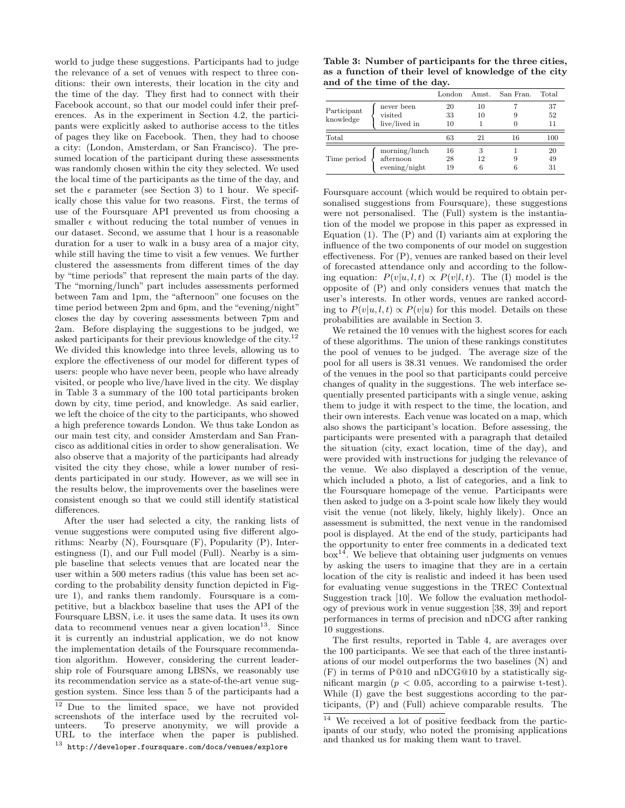world to judge these suggestions. Participants had to judge the relevance of a set of venues with respect to three conditions: their own interests, their location in the city and the time of the day. They first had to connect with their Facebook account, so that our model could infer their preferences. As in the experiment in Section 4.2, the participants were explicitly asked to authorise access to the titles of pages they like on Facebook. Then, they had to choose a city: (London, Amsterdam, or San Francisco). The presumed location of the participant during these assessments was randomly chosen within the city they selected. We used the local time of the participants as the time of the day, and set the  $\epsilon$  parameter (see Section 3) to 1 hour. We specifically chose this value for two reasons. First, the terms of use of the Foursquare API prevented us from choosing a smaller  $\epsilon$  without reducing the total number of venues in our dataset. Second, we assume that 1 hour is a reasonable duration for a user to walk in a busy area of a major city, while still having the time to visit a few venues. We further clustered the assessments from different times of the day by "time periods" that represent the main parts of the day. The "morning/lunch" part includes assessments performed between 7am and 1pm, the "afternoon" one focuses on the time period between 2pm and 6pm, and the "evening/night" closes the day by covering assessments between 7pm and 2am. Before displaying the suggestions to be judged, we asked participants for their previous knowledge of the city.<sup>12</sup> We divided this knowledge into three levels, allowing us to explore the effectiveness of our model for different types of users: people who have never been, people who have already visited, or people who live/have lived in the city. We display in Table 3 a summary of the 100 total participants broken down by city, time period, and knowledge. As said earlier, we left the choice of the city to the participants, who showed a high preference towards London. We thus take London as our main test city, and consider Amsterdam and San Francisco as additional cities in order to show generalisation. We also observe that a majority of the participants had already visited the city they chose, while a lower number of residents participated in our study. However, as we will see in the results below, the improvements over the baselines were consistent enough so that we could still identify statistical differences.

After the user had selected a city, the ranking lists of venue suggestions were computed using five different algorithms: Nearby (N), Foursquare (F), Popularity (P), Interestingness (I), and our Full model (Full). Nearby is a simple baseline that selects venues that are located near the user within a 500 meters radius (this value has been set according to the probability density function depicted in Figure 1), and ranks them randomly. Foursquare is a competitive, but a blackbox baseline that uses the API of the Foursquare LBSN, i.e. it uses the same data. It uses its own data to recommend venues near a given  $location<sup>13</sup>$ . Since it is currently an industrial application, we do not know the implementation details of the Foursquare recommendation algorithm. However, considering the current leadership role of Foursquare among LBSNs, we reasonably use its recommendation service as a state-of-the-art venue suggestion system. Since less than 5 of the participants had a

Table 3: Number of participants for the three cities, as a function of their level of knowledge of the city and of the time of the day.

|                          |                                             | London         | Amst.        | San Fran. | Total          |
|--------------------------|---------------------------------------------|----------------|--------------|-----------|----------------|
| Participant<br>knowledge | never been<br>visited<br>live/lived in      | 20<br>33<br>10 | 10<br>10     |           | 37<br>52<br>11 |
| Total                    |                                             | 63             | 21           | 16        | 100            |
| Time period              | morning/lunch<br>afternoon<br>evening/night | 16<br>28<br>19 | 3<br>12<br>6 |           | 20<br>49<br>31 |

Foursquare account (which would be required to obtain personalised suggestions from Foursquare), these suggestions were not personalised. The (Full) system is the instantiation of the model we propose in this paper as expressed in Equation  $(1)$ . The  $(P)$  and  $(I)$  variants aim at exploring the influence of the two components of our model on suggestion effectiveness. For (P), venues are ranked based on their level of forecasted attendance only and according to the following equation:  $P(v|u, l, t) \propto P(v|l, t)$ . The (I) model is the opposite of (P) and only considers venues that match the user's interests. In other words, venues are ranked according to  $P(v|u, l, t) \propto P(v|u)$  for this model. Details on these probabilities are available in Section 3.

We retained the 10 venues with the highest scores for each of these algorithms. The union of these rankings constitutes the pool of venues to be judged. The average size of the pool for all users is 38.31 venues. We randomised the order of the venues in the pool so that participants could perceive changes of quality in the suggestions. The web interface sequentially presented participants with a single venue, asking them to judge it with respect to the time, the location, and their own interests. Each venue was located on a map, which also shows the participant's location. Before assessing, the participants were presented with a paragraph that detailed the situation (city, exact location, time of the day), and were provided with instructions for judging the relevance of the venue. We also displayed a description of the venue, which included a photo, a list of categories, and a link to the Foursquare homepage of the venue. Participants were then asked to judge on a 3-point scale how likely they would visit the venue (not likely, likely, highly likely). Once an assessment is submitted, the next venue in the randomised pool is displayed. At the end of the study, participants had the opportunity to enter free comments in a dedicated text box<sup>14</sup>. We believe that obtaining user judgments on venues by asking the users to imagine that they are in a certain location of the city is realistic and indeed it has been used for evaluating venue suggestions in the TREC Contextual Suggestion track [10]. We follow the evaluation methodology of previous work in venue suggestion [38, 39] and report performances in terms of precision and nDCG after ranking 10 suggestions.

The first results, reported in Table 4, are averages over the 100 participants. We see that each of the three instantiations of our model outperforms the two baselines (N) and (F) in terms of P@10 and nDCG@10 by a statistically significant margin ( $p < 0.05$ , according to a pairwise t-test). While (I) gave the best suggestions according to the participants, (P) and (Full) achieve comparable results. The

 $12$  Due to the limited space, we have not provided screenshots of the interface used by the recruited volunteers. To preserve anonymity, we will provide a To preserve anonymity, we will provide a URL to the interface when the paper is published.

 $^{13}\,$ http://developer.foursquare.com/docs/venues/explore

<sup>14</sup> We received a lot of positive feedback from the participants of our study, who noted the promising applications and thanked us for making them want to travel.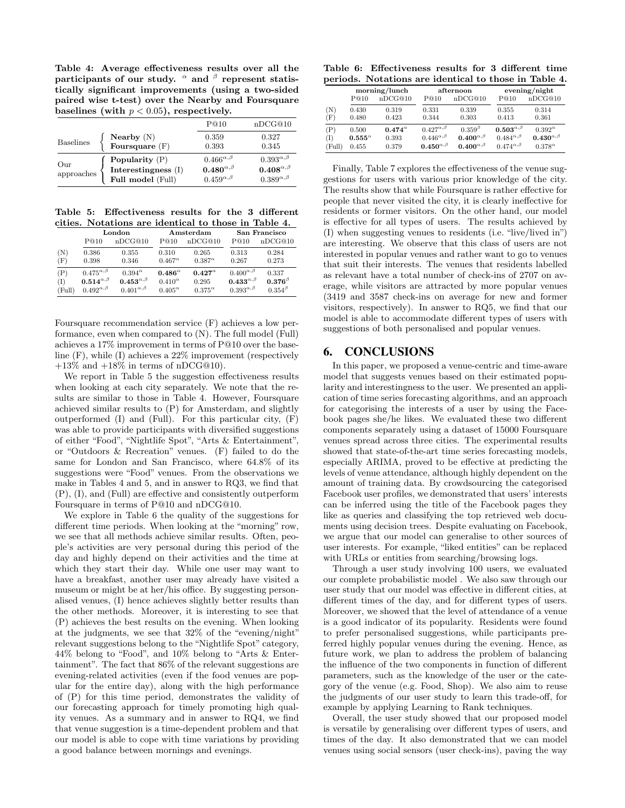Table 4: Average effectiveness results over all the participants of our study.  $\alpha$  and  $\beta$  represent statistically significant improvements (using a two-sided paired wise t-test) over the Nearby and Foursquare baselines (with  $p < 0.05$ ), respectively.

|                   |                                                              | P@10                                                                       | nDCG@10                                                                    |
|-------------------|--------------------------------------------------------------|----------------------------------------------------------------------------|----------------------------------------------------------------------------|
| <b>Baselines</b>  | Nearby $(N)$<br>Foursquare $(F)$                             | 0.359<br>0.393                                                             | 0.327<br>0.345                                                             |
| Our<br>approaches | Popularity $(P)$<br>Interestingness (I)<br>Full model (Full) | $0.466^{\alpha,\beta}$<br>$0.480^{\alpha,\beta}$<br>$0.459^{\alpha,\beta}$ | $0.393^{\alpha,\beta}$<br>$0.408^{\alpha,\beta}$<br>$0.389^{\alpha,\beta}$ |

Table 5: Effectiveness results for the 3 different cities. Notations are identical to those in Table 4.

|        | London                 |                        |                  | Amsterdam        | San Francisco          |                 |
|--------|------------------------|------------------------|------------------|------------------|------------------------|-----------------|
|        | P@10                   | nDCG@10                | P@10             | nDCG@10          | P@10                   | nDCG@10         |
| (N)    | 0.386                  | 0.355                  | 0.310            | 0.265            | 0.313                  | 0.284           |
| (F)    | 0.398                  | 0.346                  | $0.467^{\alpha}$ | $0.387^{\alpha}$ | 0.267                  | 0.273           |
| (P)    | $0.475^{\alpha,\beta}$ | $0.394^{\alpha}$       | $0.486^{\alpha}$ | $0.427^{\alpha}$ | $0.400^{\alpha,\beta}$ | 0.337           |
| (I)    | $0.514^{\alpha,\beta}$ | $0.453^{\alpha,\beta}$ | $0.410^{\alpha}$ | 0.295            | $0.433^{\alpha,\beta}$ | $0.376^{\beta}$ |
| (Full) | $0.492^{\alpha,\beta}$ | $0.401^{\alpha,\beta}$ | $0.405^{\alpha}$ | $0.375^{\alpha}$ | $0.393^{\alpha,\beta}$ | $0.354^{\beta}$ |

Foursquare recommendation service (F) achieves a low performance, even when compared to (N). The full model (Full) achieves a 17% improvement in terms of P@10 over the baseline (F), while (I) achieves a 22% improvement (respectively  $+13\%$  and  $+18\%$  in terms of nDCG@10).

We report in Table 5 the suggestion effectiveness results when looking at each city separately. We note that the results are similar to those in Table 4. However, Foursquare achieved similar results to (P) for Amsterdam, and slightly outperformed (I) and (Full). For this particular city, (F) was able to provide participants with diversified suggestions of either "Food", "Nightlife Spot", "Arts & Entertainment", or "Outdoors & Recreation" venues. (F) failed to do the same for London and San Francisco, where 64.8% of its suggestions were "Food" venues. From the observations we make in Tables 4 and 5, and in answer to RQ3, we find that (P), (I), and (Full) are effective and consistently outperform Foursquare in terms of P@10 and nDCG@10.

We explore in Table 6 the quality of the suggestions for different time periods. When looking at the "morning" row, we see that all methods achieve similar results. Often, people's activities are very personal during this period of the day and highly depend on their activities and the time at which they start their day. While one user may want to have a breakfast, another user may already have visited a museum or might be at her/his office. By suggesting personalised venues, (I) hence achieves slightly better results than the other methods. Moreover, it is interesting to see that (P) achieves the best results on the evening. When looking at the judgments, we see that 32% of the "evening/night" relevant suggestions belong to the "Nightlife Spot" category, 44% belong to "Food", and 10% belong to "Arts & Entertainment". The fact that 86% of the relevant suggestions are evening-related activities (even if the food venues are popular for the entire day), along with the high performance of (P) for this time period, demonstrates the validity of our forecasting approach for timely promoting high quality venues. As a summary and in answer to RQ4, we find that venue suggestion is a time-dependent problem and that our model is able to cope with time variations by providing a good balance between mornings and evenings.

Table 6: Effectiveness results for 3 different time periods. Notations are identical to those in Table 4.

|        | morning/lunch    |                  |                        | afternoon              | evening/night          |                        |
|--------|------------------|------------------|------------------------|------------------------|------------------------|------------------------|
|        | P@10             | nDCG@10          | P@10                   | nDCG@10                | P@10                   | nDCG@10                |
| (N)    | 0.430            | 0.319            | 0.331                  | 0.339                  | 0.355                  | 0.314                  |
| (F)    | 0.480            | 0.423            | 0.344                  | 0.303                  | 0.413                  | 0.361                  |
| (P)    | 0.500            | $0.474^{\alpha}$ | $0.427^{\alpha,\beta}$ | $0.359^{\beta}$        | $0.503^{\alpha,\beta}$ | $0.392^{\alpha}$       |
| (I)    | $0.555^{\alpha}$ | 0.393            | $0.446^{\alpha,\beta}$ | $0.400^{\alpha,\beta}$ | $0.484^{\alpha,\beta}$ | $0.430^{\alpha,\beta}$ |
| (Full) | 0.455            | 0.379            | $0.450^{\alpha,\beta}$ | $0.400^{\alpha,\beta}$ | $0.474^{\alpha,\beta}$ | $0.378^{\alpha}$       |

Finally, Table 7 explores the effectiveness of the venue suggestions for users with various prior knowledge of the city. The results show that while Foursquare is rather effective for people that never visited the city, it is clearly ineffective for residents or former visitors. On the other hand, our model is effective for all types of users. The results achieved by (I) when suggesting venues to residents (i.e. "live/lived in") are interesting. We observe that this class of users are not interested in popular venues and rather want to go to venues that suit their interests. The venues that residents labelled as relevant have a total number of check-ins of 2707 on average, while visitors are attracted by more popular venues (3419 and 3587 check-ins on average for new and former visitors, respectively). In answer to RQ5, we find that our model is able to accommodate different types of users with suggestions of both personalised and popular venues.

# 6. CONCLUSIONS

In this paper, we proposed a venue-centric and time-aware model that suggests venues based on their estimated popularity and interestingness to the user. We presented an application of time series forecasting algorithms, and an approach for categorising the interests of a user by using the Facebook pages she/he likes. We evaluated these two different components separately using a dataset of 15000 Foursquare venues spread across three cities. The experimental results showed that state-of-the-art time series forecasting models, especially ARIMA, proved to be effective at predicting the levels of venue attendance, although highly dependent on the amount of training data. By crowdsourcing the categorised Facebook user profiles, we demonstrated that users' interests can be inferred using the title of the Facebook pages they like as queries and classifying the top retrieved web documents using decision trees. Despite evaluating on Facebook, we argue that our model can generalise to other sources of user interests. For example, "liked entities" can be replaced with URLs or entities from searching/browsing logs.

Through a user study involving 100 users, we evaluated our complete probabilistic model . We also saw through our user study that our model was effective in different cities, at different times of the day, and for different types of users. Moreover, we showed that the level of attendance of a venue is a good indicator of its popularity. Residents were found to prefer personalised suggestions, while participants preferred highly popular venues during the evening. Hence, as future work, we plan to address the problem of balancing the influence of the two components in function of different parameters, such as the knowledge of the user or the category of the venue (e.g. Food, Shop). We also aim to reuse the judgments of our user study to learn this trade-off, for example by applying Learning to Rank techniques.

Overall, the user study showed that our proposed model is versatile by generalising over different types of users, and times of the day. It also demonstrated that we can model venues using social sensors (user check-ins), paving the way